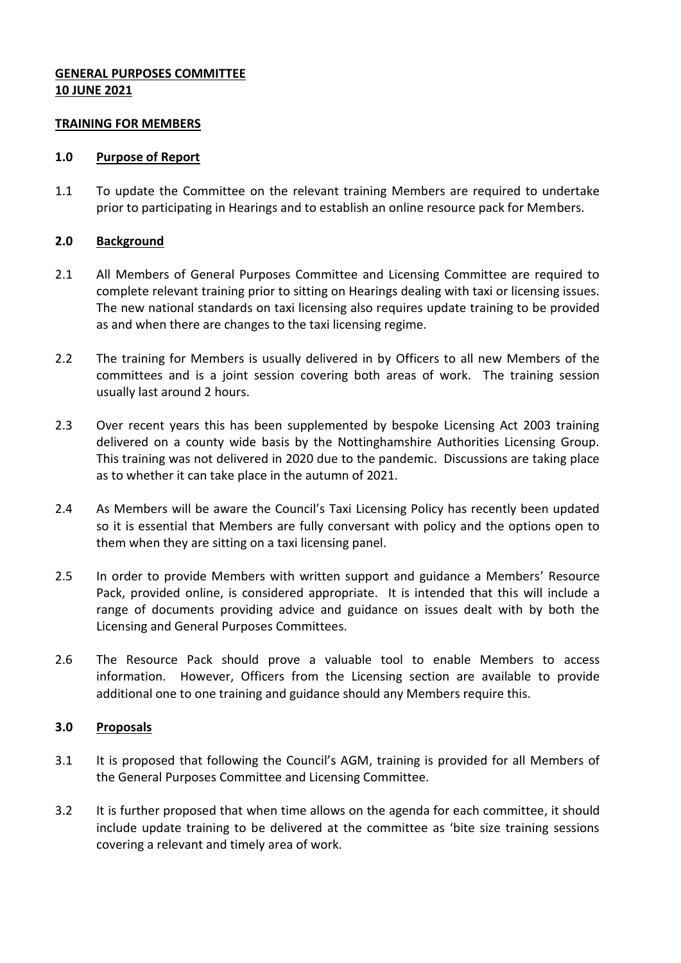# **GENERAL PURPOSES COMMITTEE 10 JUNE 2021**

### **TRAINING FOR MEMBERS**

#### **1.0 Purpose of Report**

1.1 To update the Committee on the relevant training Members are required to undertake prior to participating in Hearings and to establish an online resource pack for Members.

### **2.0 Background**

- 2.1 All Members of General Purposes Committee and Licensing Committee are required to complete relevant training prior to sitting on Hearings dealing with taxi or licensing issues. The new national standards on taxi licensing also requires update training to be provided as and when there are changes to the taxi licensing regime.
- 2.2 The training for Members is usually delivered in by Officers to all new Members of the committees and is a joint session covering both areas of work. The training session usually last around 2 hours.
- 2.3 Over recent years this has been supplemented by bespoke Licensing Act 2003 training delivered on a county wide basis by the Nottinghamshire Authorities Licensing Group. This training was not delivered in 2020 due to the pandemic. Discussions are taking place as to whether it can take place in the autumn of 2021.
- 2.4 As Members will be aware the Council's Taxi Licensing Policy has recently been updated so it is essential that Members are fully conversant with policy and the options open to them when they are sitting on a taxi licensing panel.
- 2.5 In order to provide Members with written support and guidance a Members' Resource Pack, provided online, is considered appropriate. It is intended that this will include a range of documents providing advice and guidance on issues dealt with by both the Licensing and General Purposes Committees.
- 2.6 The Resource Pack should prove a valuable tool to enable Members to access information. However, Officers from the Licensing section are available to provide additional one to one training and guidance should any Members require this.

### **3.0 Proposals**

- 3.1 It is proposed that following the Council's AGM, training is provided for all Members of the General Purposes Committee and Licensing Committee.
- 3.2 It is further proposed that when time allows on the agenda for each committee, it should include update training to be delivered at the committee as 'bite size training sessions covering a relevant and timely area of work.